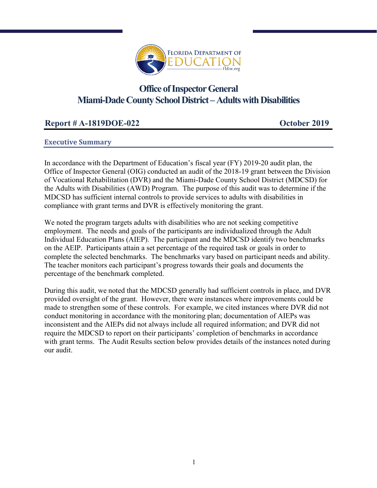

# **Miami-Dade County School District –Adults with Disabilities Office of Inspector General**

# **Report # A-1819DOE-022 October 2019**

# **Executive Summary**

In accordance with the Department of Education's fiscal year (FY) 2019-20 audit plan, the Office of Inspector General (OIG) conducted an audit of the 2018-19 grant between the Division of Vocational Rehabilitation (DVR) and the Miami-Dade County School District (MDCSD) for the Adults with Disabilities (AWD) Program. The purpose of this audit was to determine if the MDCSD has sufficient internal controls to provide services to adults with disabilities in compliance with grant terms and DVR is effectively monitoring the grant.

We noted the program targets adults with disabilities who are not seeking competitive employment. The needs and goals of the participants are individualized through the Adult Individual Education Plans (AIEP). The participant and the MDCSD identify two benchmarks on the AEIP. Participants attain a set percentage of the required task or goals in order to complete the selected benchmarks. The benchmarks vary based on participant needs and ability. The teacher monitors each participant's progress towards their goals and documents the percentage of the benchmark completed.

During this audit, we noted that the MDCSD generally had sufficient controls in place, and DVR provided oversight of the grant. However, there were instances where improvements could be made to strengthen some of these controls. For example, we cited instances where DVR did not conduct monitoring in accordance with the monitoring plan; documentation of AIEPs was inconsistent and the AIEPs did not always include all required information; and DVR did not require the MDCSD to report on their participants' completion of benchmarks in accordance with grant terms. The Audit Results section below provides details of the instances noted during our audit.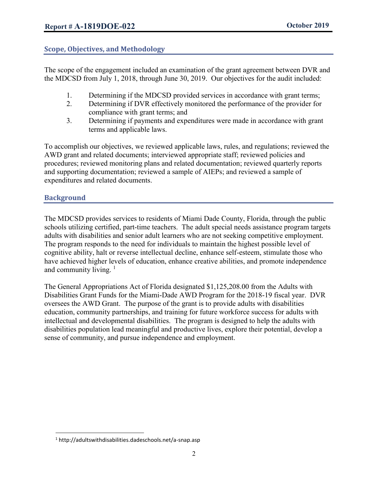# **Scope, Objectives, and Methodology**

The scope of the engagement included an examination of the grant agreement between DVR and the MDCSD from July 1, 2018, through June 30, 2019. Our objectives for the audit included:

- 1. Determining if the MDCSD provided services in accordance with grant terms;
- 2. Determining if DVR effectively monitored the performance of the provider for compliance with grant terms; and
- 3. Determining if payments and expenditures were made in accordance with grant terms and applicable laws.

To accomplish our objectives, we reviewed applicable laws, rules, and regulations; reviewed the AWD grant and related documents; interviewed appropriate staff; reviewed policies and procedures; reviewed monitoring plans and related documentation; reviewed quarterly reports and supporting documentation; reviewed a sample of AIEPs; and reviewed a sample of expenditures and related documents.

# **Background**

 $\overline{\phantom{a}}$ 

The MDCSD provides services to residents of Miami Dade County, Florida, through the public schools utilizing certified, part-time teachers. The adult special needs assistance program targets adults with disabilities and senior adult learners who are not seeking competitive employment. The program responds to the need for individuals to maintain the highest possible level of cognitive ability, halt or reverse intellectual decline, enhance self-esteem, stimulate those who have achieved higher levels of education, enhance creative abilities, and promote independence and community living.  $\frac{1}{1}$ 

The General Appropriations Act of Florida designated \$1,125,208.00 from the Adults with Disabilities Grant Funds for the Miami-Dade AWD Program for the 2018-19 fiscal year. DVR oversees the AWD Grant. The purpose of the grant is to provide adults with disabilities education, community partnerships, and training for future workforce success for adults with intellectual and developmental disabilities. The program is designed to help the adults with disabilities population lead meaningful and productive lives, explore their potential, develop a sense of community, and pursue independence and employment.

<sup>1</sup> http://adultswithdisabilities.dadeschools.net/a-snap.asp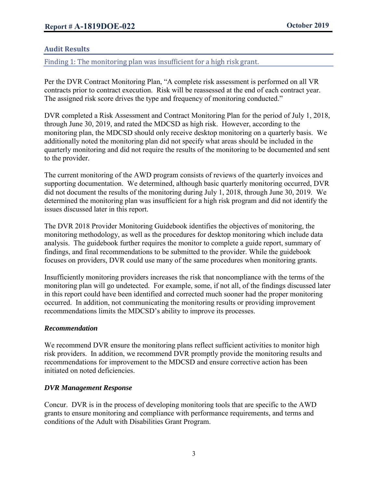# **Audit Results**

Finding 1: The monitoring plan was insufficient for a high risk grant.

Per the DVR Contract Monitoring Plan, "A complete risk assessment is performed on all VR contracts prior to contract execution. Risk will be reassessed at the end of each contract year. The assigned risk score drives the type and frequency of monitoring conducted."

DVR completed a Risk Assessment and Contract Monitoring Plan for the period of July 1, 2018, through June 30, 2019, and rated the MDCSD as high risk. However, according to the monitoring plan, the MDCSD should only receive desktop monitoring on a quarterly basis. We additionally noted the monitoring plan did not specify what areas should be included in the quarterly monitoring and did not require the results of the monitoring to be documented and sent to the provider.

The current monitoring of the AWD program consists of reviews of the quarterly invoices and supporting documentation. We determined, although basic quarterly monitoring occurred, DVR did not document the results of the monitoring during July 1, 2018, through June 30, 2019. We determined the monitoring plan was insufficient for a high risk program and did not identify the issues discussed later in this report.

The DVR 2018 Provider Monitoring Guidebook identifies the objectives of monitoring, the monitoring methodology, as well as the procedures for desktop monitoring which include data analysis. The guidebook further requires the monitor to complete a guide report, summary of findings, and final recommendations to be submitted to the provider. While the guidebook focuses on providers, DVR could use many of the same procedures when monitoring grants.

Insufficiently monitoring providers increases the risk that noncompliance with the terms of the monitoring plan will go undetected. For example, some, if not all, of the findings discussed later in this report could have been identified and corrected much sooner had the proper monitoring occurred. In addition, not communicating the monitoring results or providing improvement recommendations limits the MDCSD's ability to improve its processes.

#### *Recommendation*

We recommend DVR ensure the monitoring plans reflect sufficient activities to monitor high risk providers. In addition, we recommend DVR promptly provide the monitoring results and recommendations for improvement to the MDCSD and ensure corrective action has been initiated on noted deficiencies.

# *DVR Management Response*

Concur. DVR is in the process of developing monitoring tools that are specific to the AWD grants to ensure monitoring and compliance with performance requirements, and terms and conditions of the Adult with Disabilities Grant Program.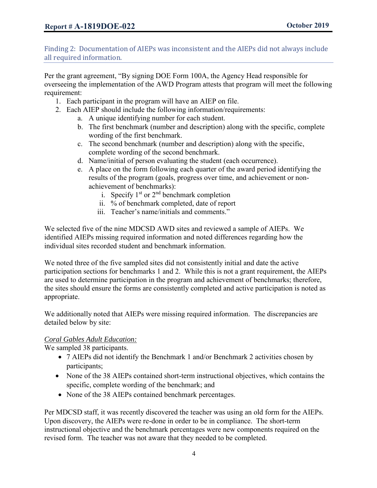Finding 2: Documentation of AIEPs was inconsistent and the AIEPs did not always include all required information.

Per the grant agreement, "By signing DOE Form 100A, the Agency Head responsible for overseeing the implementation of the AWD Program attests that program will meet the following requirement:

- 1. Each participant in the program will have an AIEP on file.
- 2. Each AIEP should include the following information/requirements:
	- a. A unique identifying number for each student.
	- b. The first benchmark (number and description) along with the specific, complete wording of the first benchmark.
	- c. The second benchmark (number and description) along with the specific, complete wording of the second benchmark.
	- d. Name/initial of person evaluating the student (each occurrence).
	- e. A place on the form following each quarter of the award period identifying the results of the program (goals, progress over time, and achievement or nonachievement of benchmarks):
		- i. Specify  $1<sup>st</sup>$  or  $2<sup>nd</sup>$  benchmark completion
		- ii. % of benchmark completed, date of report
		- iii. Teacher's name/initials and comments."

We selected five of the nine MDCSD AWD sites and reviewed a sample of AIEPs. We identified AIEPs missing required information and noted differences regarding how the individual sites recorded student and benchmark information.

We noted three of the five sampled sites did not consistently initial and date the active participation sections for benchmarks 1 and 2. While this is not a grant requirement, the AIEPs are used to determine participation in the program and achievement of benchmarks; therefore, the sites should ensure the forms are consistently completed and active participation is noted as appropriate.

We additionally noted that AIEPs were missing required information. The discrepancies are detailed below by site:

#### *Coral Gables Adult Education:*

We sampled 38 participants.

- 7 AIEPs did not identify the Benchmark 1 and/or Benchmark 2 activities chosen by participants;
- None of the 38 AIEPs contained short-term instructional objectives, which contains the specific, complete wording of the benchmark; and
- None of the 38 AIEPs contained benchmark percentages.

Per MDCSD staff, it was recently discovered the teacher was using an old form for the AIEPs. Upon discovery, the AIEPs were re-done in order to be in compliance. The short-term instructional objective and the benchmark percentages were new components required on the revised form. The teacher was not aware that they needed to be completed.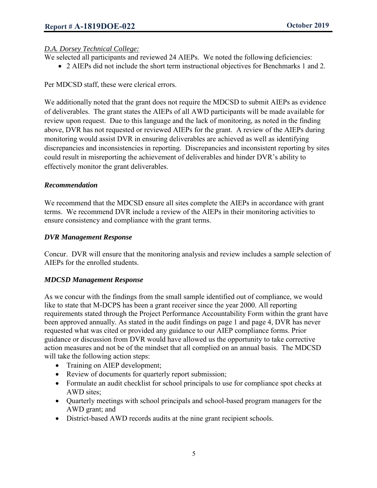# *D.A. Dorsey Technical College:*

- We selected all participants and reviewed 24 AIEPs. We noted the following deficiencies:
	- 2 AIEPs did not include the short term instructional objectives for Benchmarks 1 and 2.

Per MDCSD staff, these were clerical errors.

We additionally noted that the grant does not require the MDCSD to submit AIEPs as evidence of deliverables. The grant states the AIEPs of all AWD participants will be made available for review upon request. Due to this language and the lack of monitoring, as noted in the finding above, DVR has not requested or reviewed AIEPs for the grant. A review of the AIEPs during monitoring would assist DVR in ensuring deliverables are achieved as well as identifying discrepancies and inconsistencies in reporting. Discrepancies and inconsistent reporting by sites could result in misreporting the achievement of deliverables and hinder DVR's ability to effectively monitor the grant deliverables.

# *Recommendation*

We recommend that the MDCSD ensure all sites complete the AIEPs in accordance with grant terms. We recommend DVR include a review of the AIEPs in their monitoring activities to ensure consistency and compliance with the grant terms.

# *DVR Management Response*

Concur. DVR will ensure that the monitoring analysis and review includes a sample selection of AIEPs for the enrolled students.

#### *MDCSD Management Response*

As we concur with the findings from the small sample identified out of compliance, we would like to state that M-DCPS has been a grant receiver since the year 2000. All reporting requirements stated through the Project Performance Accountability Form within the grant have been approved annually. As stated in the audit findings on page 1 and page 4, DVR has never requested what was cited or provided any guidance to our AIEP compliance forms. Prior guidance or discussion from DVR would have allowed us the opportunity to take corrective action measures and not be of the mindset that all complied on an annual basis. The MDCSD will take the following action steps:

- Training on AIEP development;
- Review of documents for quarterly report submission;
- Formulate an audit checklist for school principals to use for compliance spot checks at AWD sites;
- Quarterly meetings with school principals and school-based program managers for the AWD grant; and
- District-based AWD records audits at the nine grant recipient schools.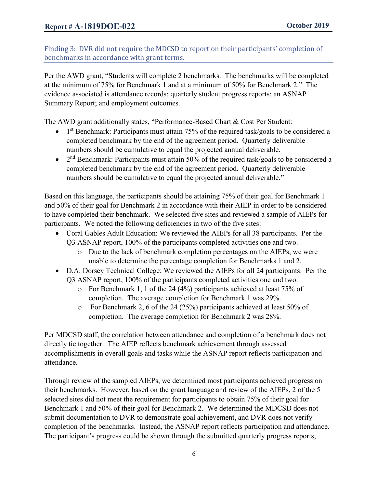Finding 3: DVR did not require the MDCSD to report on their participants' completion of benchmarks in accordance with grant terms.

Per the AWD grant, "Students will complete 2 benchmarks. The benchmarks will be completed at the minimum of 75% for Benchmark 1 and at a minimum of 50% for Benchmark 2." The evidence associated is attendance records; quarterly student progress reports; an ASNAP Summary Report; and employment outcomes.

The AWD grant additionally states, "Performance-Based Chart & Cost Per Student:

- 1<sup>st</sup> Benchmark: Participants must attain 75% of the required task/goals to be considered a completed benchmark by the end of the agreement period. Quarterly deliverable numbers should be cumulative to equal the projected annual deliverable.
- $\bullet$  2<sup>nd</sup> Benchmark: Participants must attain 50% of the required task/goals to be considered a completed benchmark by the end of the agreement period. Quarterly deliverable numbers should be cumulative to equal the projected annual deliverable."

Based on this language, the participants should be attaining 75% of their goal for Benchmark 1 and 50% of their goal for Benchmark 2 in accordance with their AIEP in order to be considered to have completed their benchmark. We selected five sites and reviewed a sample of AIEPs for participants. We noted the following deficiencies in two of the five sites:

- Coral Gables Adult Education: We reviewed the AIEPs for all 38 participants. Per the Q3 ASNAP report, 100% of the participants completed activities one and two.
	- o Due to the lack of benchmark completion percentages on the AIEPs, we were unable to determine the percentage completion for Benchmarks 1 and 2.
- D.A. Dorsey Technical College: We reviewed the AIEPs for all 24 participants. Per the Q3 ASNAP report, 100% of the participants completed activities one and two.
	- o For Benchmark 1, 1 of the 24 (4%) participants achieved at least 75% of completion. The average completion for Benchmark 1 was 29%.
	- o For Benchmark 2, 6 of the 24 (25%) participants achieved at least 50% of completion. The average completion for Benchmark 2 was 28%.

Per MDCSD staff, the correlation between attendance and completion of a benchmark does not directly tie together. The AIEP reflects benchmark achievement through assessed accomplishments in overall goals and tasks while the ASNAP report reflects participation and attendance.

Through review of the sampled AIEPs, we determined most participants achieved progress on their benchmarks. However, based on the grant language and review of the AIEPs, 2 of the 5 selected sites did not meet the requirement for participants to obtain 75% of their goal for Benchmark 1 and 50% of their goal for Benchmark 2. We determined the MDCSD does not submit documentation to DVR to demonstrate goal achievement, and DVR does not verify completion of the benchmarks. Instead, the ASNAP report reflects participation and attendance. The participant's progress could be shown through the submitted quarterly progress reports;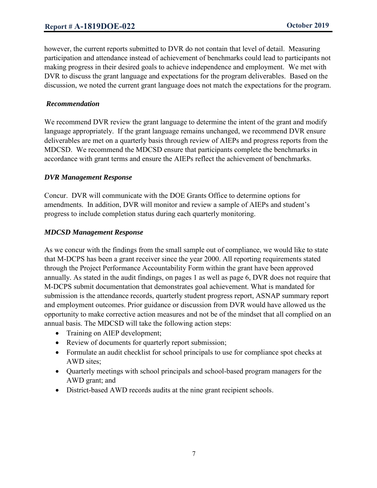however, the current reports submitted to DVR do not contain that level of detail. Measuring participation and attendance instead of achievement of benchmarks could lead to participants not making progress in their desired goals to achieve independence and employment. We met with DVR to discuss the grant language and expectations for the program deliverables. Based on the discussion, we noted the current grant language does not match the expectations for the program.

#### *Recommendation*

We recommend DVR review the grant language to determine the intent of the grant and modify language appropriately. If the grant language remains unchanged, we recommend DVR ensure deliverables are met on a quarterly basis through review of AIEPs and progress reports from the MDCSD. We recommend the MDCSD ensure that participants complete the benchmarks in accordance with grant terms and ensure the AIEPs reflect the achievement of benchmarks.

#### *DVR Management Response*

Concur. DVR will communicate with the DOE Grants Office to determine options for amendments. In addition, DVR will monitor and review a sample of AIEPs and student's progress to include completion status during each quarterly monitoring.

# *MDCSD Management Response*

As we concur with the findings from the small sample out of compliance, we would like to state that M-DCPS has been a grant receiver since the year 2000. All reporting requirements stated through the Project Performance Accountability Form within the grant have been approved annually. As stated in the audit findings, on pages 1 as well as page 6, DVR does not require that M-DCPS submit documentation that demonstrates goal achievement. What is mandated for submission is the attendance records, quarterly student progress report, ASNAP summary report and employment outcomes. Prior guidance or discussion from DVR would have allowed us the opportunity to make corrective action measures and not be of the mindset that all complied on an annual basis. The MDCSD will take the following action steps:

- Training on AIEP development;
- Review of documents for quarterly report submission;
- Formulate an audit checklist for school principals to use for compliance spot checks at AWD sites;
- Quarterly meetings with school principals and school-based program managers for the AWD grant; and
- District-based AWD records audits at the nine grant recipient schools.